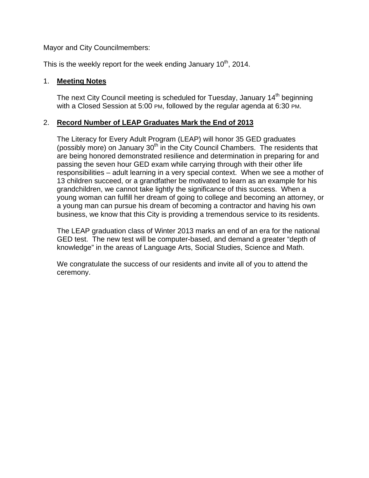Mayor and City Councilmembers:

This is the weekly report for the week ending January  $10<sup>th</sup>$ , 2014.

### 1. **Meeting Notes**

The next City Council meeting is scheduled for Tuesday, January 14<sup>th</sup> beginning with a Closed Session at 5:00 PM, followed by the regular agenda at 6:30 PM.

# 2. **Record Number of LEAP Graduates Mark the End of 2013**

The Literacy for Every Adult Program (LEAP) will honor 35 GED graduates (possibly more) on January  $30<sup>th</sup>$  in the City Council Chambers. The residents that are being honored demonstrated resilience and determination in preparing for and passing the seven hour GED exam while carrying through with their other life responsibilities – adult learning in a very special context. When we see a mother of 13 children succeed, or a grandfather be motivated to learn as an example for his grandchildren, we cannot take lightly the significance of this success. When a young woman can fulfill her dream of going to college and becoming an attorney, or a young man can pursue his dream of becoming a contractor and having his own business, we know that this City is providing a tremendous service to its residents.

The LEAP graduation class of Winter 2013 marks an end of an era for the national GED test. The new test will be computer-based, and demand a greater "depth of knowledge" in the areas of Language Arts, Social Studies, Science and Math.

We congratulate the success of our residents and invite all of you to attend the ceremony.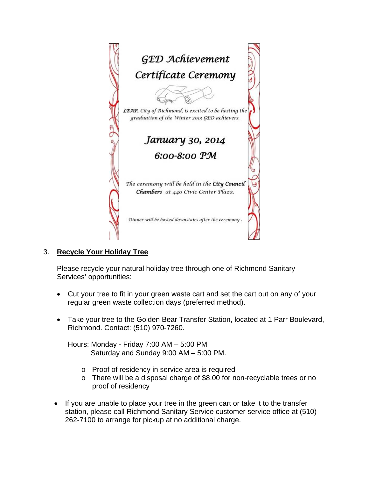

3. **Recycle Your Holiday Tree** 

Please recycle your natural holiday tree through one of Richmond Sanitary Services' opportunities:

- Cut your tree to fit in your green waste cart and set the cart out on any of your regular green waste collection days (preferred method).
- Take your tree to the Golden Bear Transfer Station, located at 1 Parr Boulevard, Richmond. Contact: (510) 970-7260.

Hours: Monday - Friday 7:00 AM – 5:00 PM Saturday and Sunday 9:00 AM – 5:00 PM.

- o Proof of residency in service area is required
- o There will be a disposal charge of \$8.00 for non-recyclable trees or no proof of residency
- If you are unable to place your tree in the green cart or take it to the transfer station, please call Richmond Sanitary Service customer service office at (510) 262-7100 to arrange for pickup at no additional charge.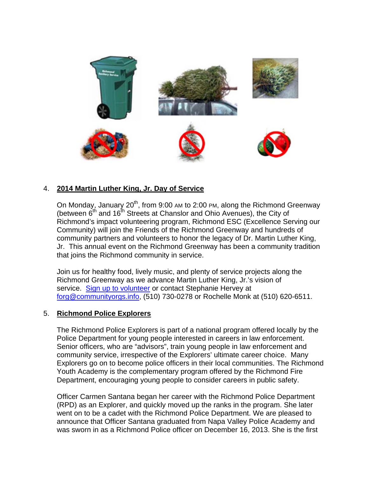

# 4. **2014 Martin Luther King, Jr. Day of Service**

On Monday, January  $20<sup>th</sup>$ , from 9:00 AM to 2:00 PM, along the Richmond Greenway (between  $6<sup>th</sup>$  and 16<sup>th</sup> Streets at Chanslor and Ohio Avenues), the City of Richmond's impact volunteering program, Richmond ESC (Excellence Serving our Community) will join the Friends of the Richmond Greenway and hundreds of community partners and volunteers to honor the legacy of Dr. Martin Luther King, Jr. This annual event on the Richmond Greenway has been a community tradition that joins the Richmond community in service.

Join us for healthy food, lively music, and plenty of service projects along the Richmond Greenway as we advance Martin Luther King, Jr.'s vision of service. Sign up to volunteer or contact Stephanie Hervey at forg@communityorgs.info, (510) 730-0278 or Rochelle Monk at (510) 620-6511.

### 5. **Richmond Police Explorers**

The Richmond Police Explorers is part of a national program offered locally by the Police Department for young people interested in careers in law enforcement. Senior officers, who are "advisors", train young people in law enforcement and community service, irrespective of the Explorers' ultimate career choice. Many Explorers go on to become police officers in their local communities. The Richmond Youth Academy is the complementary program offered by the Richmond Fire Department, encouraging young people to consider careers in public safety.

Officer Carmen Santana began her career with the Richmond Police Department (RPD) as an Explorer, and quickly moved up the ranks in the program. She later went on to be a cadet with the Richmond Police Department. We are pleased to announce that Officer Santana graduated from Napa Valley Police Academy and was sworn in as a Richmond Police officer on December 16, 2013. She is the first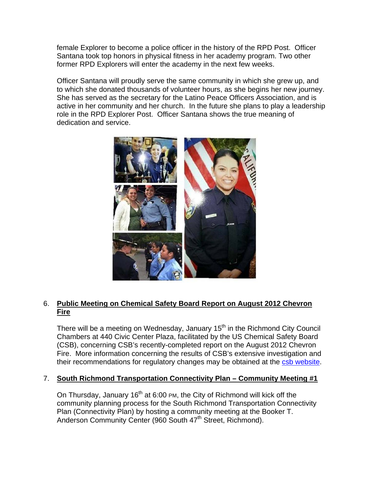female Explorer to become a police officer in the history of the RPD Post. Officer Santana took top honors in physical fitness in her academy program. Two other former RPD Explorers will enter the academy in the next few weeks.

Officer Santana will proudly serve the same community in which she grew up, and to which she donated thousands of volunteer hours, as she begins her new journey. She has served as the secretary for the Latino Peace Officers Association, and is active in her community and her church. In the future she plans to play a leadership role in the RPD Explorer Post. Officer Santana shows the true meaning of dedication and service.



# 6. **Public Meeting on Chemical Safety Board Report on August 2012 Chevron Fire**

There will be a meeting on Wednesday, January 15<sup>th</sup> in the Richmond City Council Chambers at 440 Civic Center Plaza, facilitated by the US Chemical Safety Board (CSB), concerning CSB's recently-completed report on the August 2012 Chevron Fire. More information concerning the results of CSB's extensive investigation and their recommendations for regulatory changes may be obtained at the csb website.

### 7. **South Richmond Transportation Connectivity Plan – Community Meeting #1**

On Thursday, January  $16<sup>th</sup>$  at 6:00 PM, the City of Richmond will kick off the community planning process for the South Richmond Transportation Connectivity Plan (Connectivity Plan) by hosting a community meeting at the Booker T. Anderson Community Center (960 South 47<sup>th</sup> Street, Richmond).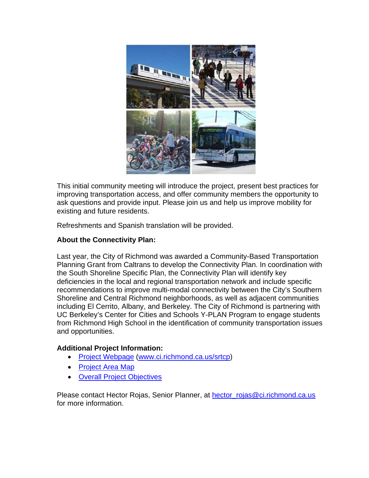

This initial community meeting will introduce the project, present best practices for improving transportation access, and offer community members the opportunity to ask questions and provide input. Please join us and help us improve mobility for existing and future residents.

Refreshments and Spanish translation will be provided.

### **About the Connectivity Plan:**

Last year, the City of Richmond was awarded a Community-Based Transportation Planning Grant from Caltrans to develop the Connectivity Plan. In coordination with the South Shoreline Specific Plan, the Connectivity Plan will identify key deficiencies in the local and regional transportation network and include specific recommendations to improve multi-modal connectivity between the City's Southern Shoreline and Central Richmond neighborhoods, as well as adjacent communities including El Cerrito, Albany, and Berkeley. The City of Richmond is partnering with UC Berkeley's Center for Cities and Schools Y-PLAN Program to engage students from Richmond High School in the identification of community transportation issues and opportunities.

### **Additional Project Information:**

- Project Webpage (www.ci.richmond.ca.us/srtcp)
- Project Area Map
- Overall Project Objectives

Please contact Hector Rojas, Senior Planner, at hector\_rojas@ci.richmond.ca.us for more information.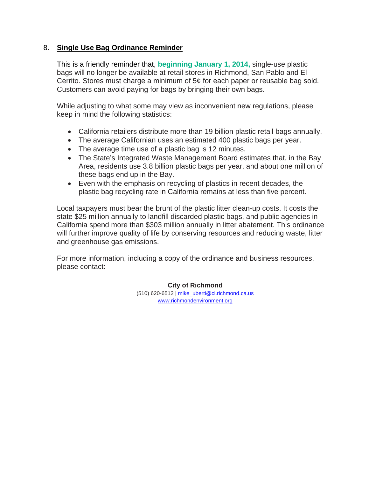### 8. **Single Use Bag Ordinance Reminder**

This is a friendly reminder that, **beginning January 1, 2014,** single-use plastic bags will no longer be available at retail stores in Richmond, San Pablo and El Cerrito. Stores must charge a minimum of 5¢ for each paper or reusable bag sold. Customers can avoid paying for bags by bringing their own bags.

While adjusting to what some may view as inconvenient new regulations, please keep in mind the following statistics:

- California retailers distribute more than 19 billion plastic retail bags annually.
- The average Californian uses an estimated 400 plastic bags per year.
- The average time use of a plastic bag is 12 minutes.
- The State's Integrated Waste Management Board estimates that, in the Bay Area, residents use 3.8 billion plastic bags per year, and about one million of these bags end up in the Bay.
- Even with the emphasis on recycling of plastics in recent decades, the plastic bag recycling rate in California remains at less than five percent.

Local taxpayers must bear the brunt of the plastic litter clean-up costs. It costs the state \$25 million annually to landfill discarded plastic bags, and public agencies in California spend more than \$303 million annually in litter abatement. This ordinance will further improve quality of life by conserving resources and reducing waste, litter and greenhouse gas emissions.

For more information, including a copy of the ordinance and business resources, please contact:

> **City of Richmond** (510) 620-6512 | mike\_uberti@ci.richmond.ca.us www.richmondenvironment.org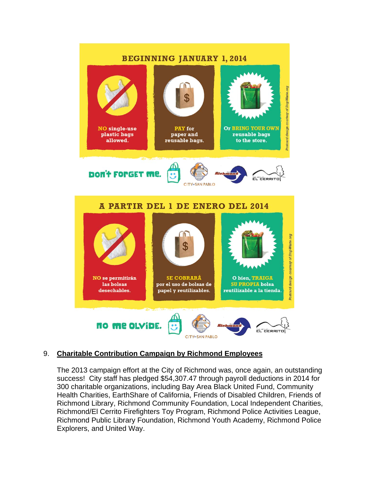

# 9. **Charitable Contribution Campaign by Richmond Employees**

The 2013 campaign effort at the City of Richmond was, once again, an outstanding success! City staff has pledged \$54,307.47 through payroll deductions in 2014 for 300 charitable organizations, including Bay Area Black United Fund, Community Health Charities, EarthShare of California, Friends of Disabled Children, Friends of Richmond Library, Richmond Community Foundation, Local Independent Charities, Richmond/El Cerrito Firefighters Toy Program, Richmond Police Activities League, Richmond Public Library Foundation, Richmond Youth Academy, Richmond Police Explorers, and United Way.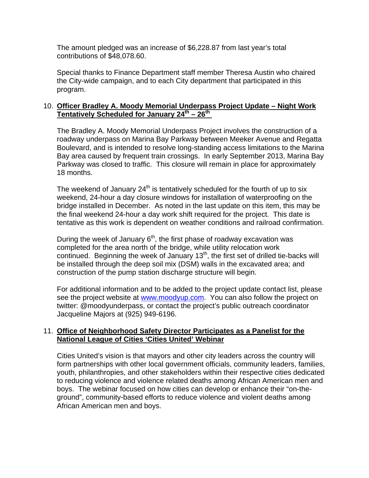The amount pledged was an increase of \$6,228.87 from last year's total contributions of \$48,078.60.

Special thanks to Finance Department staff member Theresa Austin who chaired the City-wide campaign, and to each City department that participated in this program.

### 10. **Officer Bradley A. Moody Memorial Underpass Project Update – Night Work Tentatively Scheduled for January 24th – 26th**

The Bradley A. Moody Memorial Underpass Project involves the construction of a roadway underpass on Marina Bay Parkway between Meeker Avenue and Regatta Boulevard, and is intended to resolve long-standing access limitations to the Marina Bay area caused by frequent train crossings. In early September 2013, Marina Bay Parkway was closed to traffic. This closure will remain in place for approximately 18 months.

The weekend of January  $24<sup>th</sup>$  is tentatively scheduled for the fourth of up to six weekend, 24-hour a day closure windows for installation of waterproofing on the bridge installed in December. As noted in the last update on this item, this may be the final weekend 24-hour a day work shift required for the project. This date is tentative as this work is dependent on weather conditions and railroad confirmation.

During the week of January  $6<sup>th</sup>$ , the first phase of roadway excavation was completed for the area north of the bridge, while utility relocation work continued. Beginning the week of January  $13<sup>th</sup>$ , the first set of drilled tie-backs will be installed through the deep soil mix (DSM) walls in the excavated area; and construction of the pump station discharge structure will begin.

For additional information and to be added to the project update contact list, please see the project website at www.moodyup.com. You can also follow the project on twitter: @moodyunderpass, or contact the project's public outreach coordinator Jacqueline Majors at (925) 949-6196.

### 11. **Office of Neighborhood Safety Director Participates as a Panelist for the National League of Cities 'Cities United' Webinar**

Cities United's vision is that mayors and other city leaders across the country will form partnerships with other local government officials, community leaders, families, youth, philanthropies, and other stakeholders within their respective cities dedicated to reducing violence and violence related deaths among African American men and boys. The webinar focused on how cities can develop or enhance their "on-theground", community-based efforts to reduce violence and violent deaths among African American men and boys.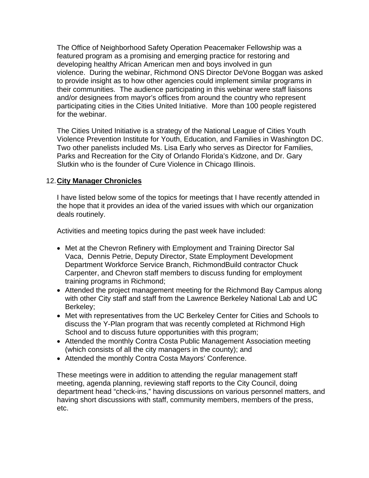The Office of Neighborhood Safety Operation Peacemaker Fellowship was a featured program as a promising and emerging practice for restoring and developing healthy African American men and boys involved in gun violence. During the webinar, Richmond ONS Director DeVone Boggan was asked to provide insight as to how other agencies could implement similar programs in their communities. The audience participating in this webinar were staff liaisons and/or designees from mayor's offices from around the country who represent participating cities in the Cities United Initiative. More than 100 people registered for the webinar.

The Cities United Initiative is a strategy of the National League of Cities Youth Violence Prevention Institute for Youth, Education, and Families in Washington DC. Two other panelists included Ms. Lisa Early who serves as Director for Families, Parks and Recreation for the City of Orlando Florida's Kidzone, and Dr. Gary Slutkin who is the founder of Cure Violence in Chicago Illinois.

### 12. **City Manager Chronicles**

I have listed below some of the topics for meetings that I have recently attended in the hope that it provides an idea of the varied issues with which our organization deals routinely.

Activities and meeting topics during the past week have included:

- Met at the Chevron Refinery with Employment and Training Director Sal Vaca, Dennis Petrie, Deputy Director, State Employment Development Department Workforce Service Branch, RichmondBuild contractor Chuck Carpenter, and Chevron staff members to discuss funding for employment training programs in Richmond;
- Attended the project management meeting for the Richmond Bay Campus along with other City staff and staff from the Lawrence Berkeley National Lab and UC Berkeley;
- Met with representatives from the UC Berkeley Center for Cities and Schools to discuss the Y-Plan program that was recently completed at Richmond High School and to discuss future opportunities with this program;
- Attended the monthly Contra Costa Public Management Association meeting (which consists of all the city managers in the county); and
- Attended the monthly Contra Costa Mayors' Conference.

These meetings were in addition to attending the regular management staff meeting, agenda planning, reviewing staff reports to the City Council, doing department head "check-ins," having discussions on various personnel matters, and having short discussions with staff, community members, members of the press, etc.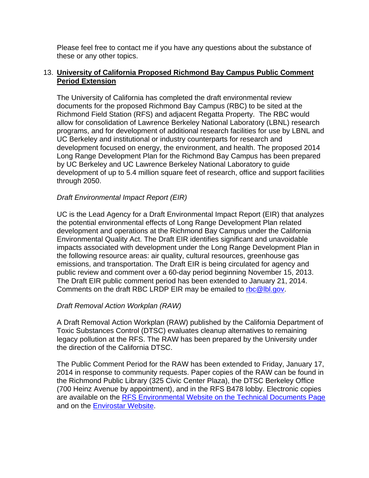Please feel free to contact me if you have any questions about the substance of these or any other topics.

### 13. **University of California Proposed Richmond Bay Campus Public Comment Period Extension**

The University of California has completed the draft environmental review documents for the proposed Richmond Bay Campus (RBC) to be sited at the Richmond Field Station (RFS) and adjacent Regatta Property. The RBC would allow for consolidation of Lawrence Berkeley National Laboratory (LBNL) research programs, and for development of additional research facilities for use by LBNL and UC Berkeley and institutional or industry counterparts for research and development focused on energy, the environment, and health. The proposed 2014 Long Range Development Plan for the Richmond Bay Campus has been prepared by UC Berkeley and UC Lawrence Berkeley National Laboratory to guide development of up to 5.4 million square feet of research, office and support facilities through 2050.

### *Draft Environmental Impact Report (EIR)*

UC is the Lead Agency for a Draft Environmental Impact Report (EIR) that analyzes the potential environmental effects of Long Range Development Plan related development and operations at the Richmond Bay Campus under the California Environmental Quality Act. The Draft EIR identifies significant and unavoidable impacts associated with development under the Long Range Development Plan in the following resource areas: air quality, cultural resources, greenhouse gas emissions, and transportation. The Draft EIR is being circulated for agency and public review and comment over a 60-day period beginning November 15, 2013. The Draft EIR public comment period has been extended to January 21, 2014. Comments on the draft RBC LRDP EIR may be emailed to rbc@lbl.gov.

### *Draft Removal Action Workplan (RAW)*

A Draft Removal Action Workplan (RAW) published by the California Department of Toxic Substances Control (DTSC) evaluates cleanup alternatives to remaining legacy pollution at the RFS. The RAW has been prepared by the University under the direction of the California DTSC.

The Public Comment Period for the RAW has been extended to Friday, January 17, 2014 in response to community requests. Paper copies of the RAW can be found in the Richmond Public Library (325 Civic Center Plaza), the DTSC Berkeley Office (700 Heinz Avenue by appointment), and in the RFS B478 lobby. Electronic copies are available on the RFS Environmental Website on the Technical Documents Page and on the Envirostar Website.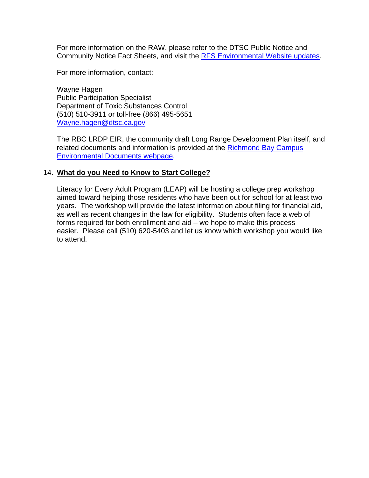For more information on the RAW, please refer to the DTSC Public Notice and Community Notice Fact Sheets, and visit the RFS Environmental Website updates.

For more information, contact:

Wayne Hagen Public Participation Specialist Department of Toxic Substances Control (510) 510-3911 or toll-free (866) 495-5651 Wayne.hagen@dtsc.ca.gov

The RBC LRDP EIR, the community draft Long Range Development Plan itself, and related documents and information is provided at the Richmond Bay Campus Environmental Documents webpage.

#### 14. **What do you Need to Know to Start College?**

Literacy for Every Adult Program (LEAP) will be hosting a college prep workshop aimed toward helping those residents who have been out for school for at least two years. The workshop will provide the latest information about filing for financial aid, as well as recent changes in the law for eligibility. Students often face a web of forms required for both enrollment and aid – we hope to make this process easier. Please call (510) 620-5403 and let us know which workshop you would like to attend.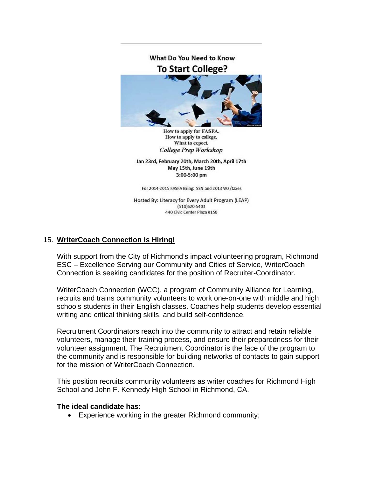

How to apply for FASFA. How to apply to college. What to expect. **College Prep Workshop** 

Jan 23rd, February 20th, March 20th, April 17th May 15th, June 19th 3:00-5:00 pm

For 2014-2015 FASFA Bring: SSN and 2013 W2/taxes

Hosted By: Literacy for Every Adult Program (LEAP) (510)620-5403 440 Civic Center Plaza #150

### 15. **WriterCoach Connection is Hiring!**

With support from the City of Richmond's impact volunteering program, Richmond ESC – Excellence Serving our Community and Cities of Service, WriterCoach Connection is seeking candidates for the position of Recruiter-Coordinator.

WriterCoach Connection (WCC), a program of Community Alliance for Learning, recruits and trains community volunteers to work one-on-one with middle and high schools students in their English classes. Coaches help students develop essential writing and critical thinking skills, and build self-confidence.

Recruitment Coordinators reach into the community to attract and retain reliable volunteers, manage their training process, and ensure their preparedness for their volunteer assignment. The Recruitment Coordinator is the face of the program to the community and is responsible for building networks of contacts to gain support for the mission of WriterCoach Connection.

This position recruits community volunteers as writer coaches for Richmond High School and John F. Kennedy High School in Richmond, CA.

### **The ideal candidate has:**

Experience working in the greater Richmond community;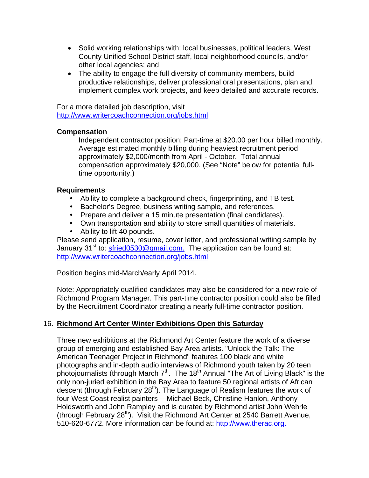- Solid working relationships with: local businesses, political leaders, West County Unified School District staff, local neighborhood councils, and/or other local agencies; and
- The ability to engage the full diversity of community members, build productive relationships, deliver professional oral presentations, plan and implement complex work projects, and keep detailed and accurate records.

For a more detailed job description, visit http://www.writercoachconnection.org/jobs.html

### **Compensation**

Independent contractor position: Part-time at \$20.00 per hour billed monthly. Average estimated monthly billing during heaviest recruitment period approximately \$2,000/month from April - October. Total annual compensation approximately \$20,000. (See "Note" below for potential fulltime opportunity.)

### **Requirements**

- Ability to complete a background check, fingerprinting, and TB test.
- Bachelor's Degree, business writing sample, and references.
- Prepare and deliver a 15 minute presentation (final candidates).
- Own transportation and ability to store small quantities of materials.
- Ability to lift 40 pounds.

Please send application, resume, cover letter, and professional writing sample by January 31<sup>st</sup> to: sfried0530@gmail.com. The application can be found at: http://www.writercoachconnection.org/jobs.html

Position begins mid-March/early April 2014.

Note: Appropriately qualified candidates may also be considered for a new role of Richmond Program Manager. This part-time contractor position could also be filled by the Recruitment Coordinator creating a nearly full-time contractor position.

# 16. **Richmond Art Center Winter Exhibitions Open this Saturday**

Three new exhibitions at the Richmond Art Center feature the work of a diverse group of emerging and established Bay Area artists. "Unlock the Talk: The American Teenager Project in Richmond" features 100 black and white photographs and in-depth audio interviews of Richmond youth taken by 20 teen photojournalists (through March  $7<sup>th</sup>$ . The 18<sup>th</sup> Annual "The Art of Living Black" is the only non-juried exhibition in the Bay Area to feature 50 regional artists of African descent (through February 28<sup>th</sup>). The Language of Realism features the work of four West Coast realist painters -- Michael Beck, Christine Hanlon, Anthony Holdsworth and John Rampley and is curated by Richmond artist John Wehrle (through February 28<sup>th</sup>). Visit the Richmond Art Center at 2540 Barrett Avenue, 510-620-6772. More information can be found at: http://www.therac.org.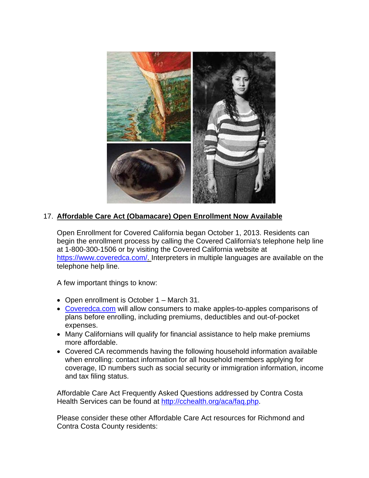

# 17. **Affordable Care Act (Obamacare) Open Enrollment Now Available**

Open Enrollment for Covered California began October 1, 2013. Residents can begin the enrollment process by calling the Covered California's telephone help line at 1-800-300-1506 or by visiting the Covered California website at https://www.coveredca.com/. Interpreters in multiple languages are available on the telephone help line.

A few important things to know:

- Open enrollment is October 1 March 31.
- Coveredca.com will allow consumers to make apples-to-apples comparisons of plans before enrolling, including premiums, deductibles and out-of-pocket expenses.
- Many Californians will qualify for financial assistance to help make premiums more affordable.
- Covered CA recommends having the following household information available when enrolling: contact information for all household members applying for coverage, ID numbers such as social security or immigration information, income and tax filing status.

Affordable Care Act Frequently Asked Questions addressed by Contra Costa Health Services can be found at http://cchealth.org/aca/faq.php.

Please consider these other Affordable Care Act resources for Richmond and Contra Costa County residents: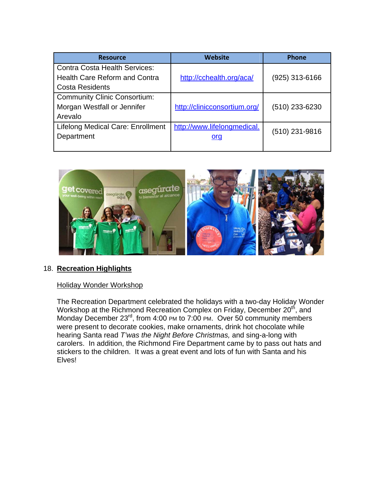| <b>Resource</b>                          | <b>Website</b>               | <b>Phone</b>     |
|------------------------------------------|------------------------------|------------------|
| <b>Contra Costa Health Services:</b>     |                              |                  |
| <b>Health Care Reform and Contra</b>     | http://cchealth.org/aca/     | $(925)$ 313-6166 |
| <b>Costa Residents</b>                   |                              |                  |
| <b>Community Clinic Consortium:</b>      |                              |                  |
| Morgan Westfall or Jennifer              | http://clinicconsortium.org/ | $(510)$ 233-6230 |
| Arevalo                                  |                              |                  |
| <b>Lifelong Medical Care: Enrollment</b> | http://www.lifelongmedical.  |                  |
| Department                               | <u>org</u>                   | (510) 231-9816   |
|                                          |                              |                  |



### 18. **Recreation Highlights**

### Holiday Wonder Workshop

The Recreation Department celebrated the holidays with a two-day Holiday Wonder Workshop at the Richmond Recreation Complex on Friday, December 20<sup>th</sup>, and Monday December 23<sup>rd</sup>, from 4:00 PM to 7:00 PM. Over 50 community members were present to decorate cookies, make ornaments, drink hot chocolate while hearing Santa read *T'was the Night Before Christmas,* and sing-a-long with carolers. In addition, the Richmond Fire Department came by to pass out hats and stickers to the children. It was a great event and lots of fun with Santa and his Elves!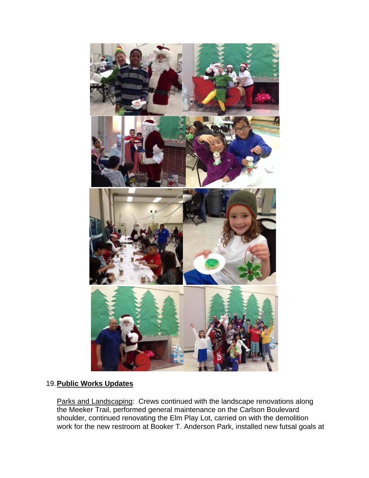

# 19. **Public Works Updates**

Parks and Landscaping: Crews continued with the landscape renovations along the Meeker Trail, performed general maintenance on the Carlson Boulevard shoulder, continued renovating the Elm Play Lot, carried on with the demolition work for the new restroom at Booker T. Anderson Park, installed new futsal goals at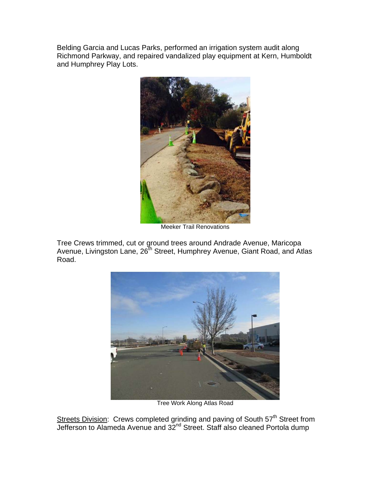Belding Garcia and Lucas Parks, performed an irrigation system audit along Richmond Parkway, and repaired vandalized play equipment at Kern, Humboldt and Humphrey Play Lots.



Meeker Trail Renovations

Tree Crews trimmed, cut or ground trees around Andrade Avenue, Maricopa Avenue, Livingston Lane, 26<sup>th</sup> Street, Humphrey Avenue, Giant Road, and Atlas Road.



Tree Work Along Atlas Road

Streets Division: Crews completed grinding and paving of South 57<sup>th</sup> Street from Jefferson to Alameda Avenue and 32<sup>nd</sup> Street. Staff also cleaned Portola dump